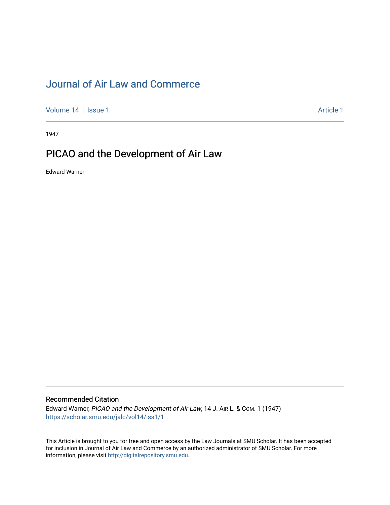## [Journal of Air Law and Commerce](https://scholar.smu.edu/jalc)

[Volume 14](https://scholar.smu.edu/jalc/vol14) | [Issue 1](https://scholar.smu.edu/jalc/vol14/iss1) Article 1

1947

## PICAO and the Development of Air Law

Edward Warner

### Recommended Citation

Edward Warner, PICAO and the Development of Air Law, 14 J. AIR L. & COM. 1 (1947) [https://scholar.smu.edu/jalc/vol14/iss1/1](https://scholar.smu.edu/jalc/vol14/iss1/1?utm_source=scholar.smu.edu%2Fjalc%2Fvol14%2Fiss1%2F1&utm_medium=PDF&utm_campaign=PDFCoverPages) 

This Article is brought to you for free and open access by the Law Journals at SMU Scholar. It has been accepted for inclusion in Journal of Air Law and Commerce by an authorized administrator of SMU Scholar. For more information, please visit [http://digitalrepository.smu.edu](http://digitalrepository.smu.edu/).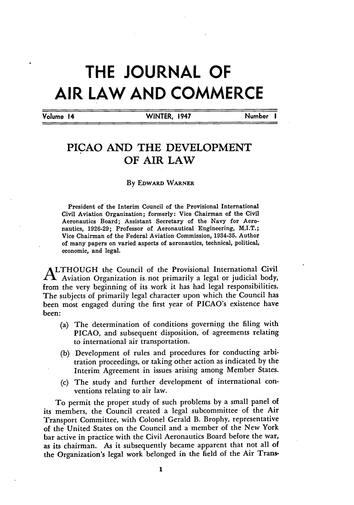# **THE JOURNAL OF AIR LAW AND COMMERCE**

Volume 14 **WINTER, 1947** Number **I**

## PICAO **AND** THE **DEVELOPMENT** OF AIR LAW

#### **By** EDWARD WARNER

President of the Interim Council of the Provisional International Civil Aviation Organization; formerly: Vice Chairman of the Civil Aeronautics Board; Assistant Secretary of the Navy for Aeronautics, **1926-29;** Professor of Aeronautical Engineering, M.I.T.; Vice Chairman of the Federal Aviation Commission, 1934-35. Author of many papers on varied aspects of aeronautics, technical, political, economic, and legal.

**ALTHOUGH** the Council of the Provisional International Civil **LI** Aviation Organization *is,* not primarily a legal or judicial body, from the very beginning of its work it has had legal responsibilities. The subjects of primarily legal character upon which the Council has been most engaged during the first year of PICAO's existence have been:

- (a) The determination of conditions governing the filing with PICAO, and subsequent disposition, of agreements relating to international air transportation.
- (b) Development of rules and procedures for conducting arbitration proceedings, or taking other action as indicated by the Interim Agreement in issues arising among Member States.
- (c) The study and further development of international conventions relating to air law.

To permit the proper study of such problems by a small panel of its members, the Council created a legal subcommittee of the Air Transport Committee, with Colonel Gerald B. Brophy, representative of the United States on the Council and a member of the New York bar active in practice with the Civil Aeronautics Board before the war, as its chairman. As it subsequently became apparent that not all of the Organization's legal work belonged in the field of the Air Trans-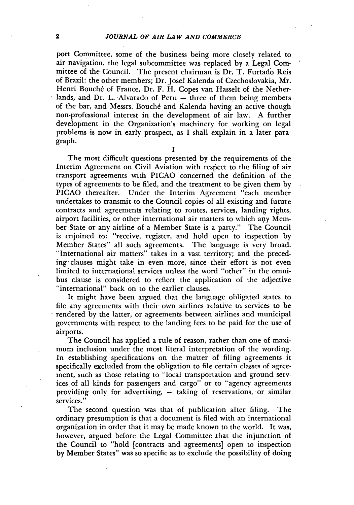port Committee, some of the business being more closely related to air navigation, the legal subcommittee was replaced by a Legal Committee of the Council. The present chairman is Dr. T. Furtado Reis of Brazil: the other members; Dr. Josef Kalenda of Czechoslovakia, Mr. Henri Bouché of France, Dr. F. H. Copes van Hasselt of the Netherlands, and Dr. L. Alvarado of Peru - three of them being members of the bar, and Messrs. Bouché and Kalenda having an active though non-professional interest in the development of air law. A further development in the Organization's machinery for working on legal problems is now in early prospect, as I shall explain in a later paragraph. **<sup>I</sup>**

The most difficult questions presented by the requirements of the Interim Agreement on Civil Aviation with respect to the filing of air transport agreements with PICAO concerned the definition of the types of agreements to be filed, and the treatment to be given them by PICAO thereafter. Under the Interim Agreement "each member undertakes to transmit to the Council copies of all existing and future contracts and agreements relating to routes, services, landing rights, airport facilities, or other international air matters to which any Member State or any airline of a Member State is a party." The Council is enjoined to: "receive, register, and hold open to inspection by Member States" all such agreements. The language is very broad. "International air matters" takes in a vast territory; and the preceding clauses might take in even more, since their effort is not even limited to international services unless the word "other" in the omnibus clause is considered to reflect the application of the adjective "international" back on to the earlier clauses.

It might have been argued that the language obligated states to file any agreements with their own airlines relative to services to be rendered by the latter, or agreements between airlines and municipal governments with respect to the landing fees to be paid for the use of airports.

The Council has applied a rule of reason, rather than one of maximum inclusion under the most literal interpretation of the wording. In establishing specifications on the matter of filing agreements it specifically excluded from the obligation to file certain classes of agreement, such as those relating to "local transportation and ground services of all kinds for passengers and cargo" or to "agency agreements providing only for advertising,  $-$  taking of reservations, or similar services."

The second question was that of publication after filing. The ordinary presumption is that a document is filed with an international organization in order that it may be made known to the world. It was, however, argued before the Legal Committee that the injunction of the Council to "hold [contracts and agreements] open to inspection by Member States" was so specific as to exclude the possibility of doing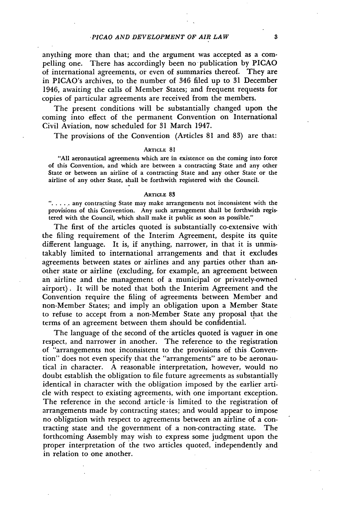anything more than that; and the argument was accepted as a compelling one. There has accordingly been no-publication by PICAO of international agreements, or even of summaries thereof. They are in PICAO's archives, to the number of 346 filed up to **31** December 1946, awaiting the calls of Member States; and frequent requests for copies of particular agreements are received from the members.

The present conditions will be substantially changed upon the coming into effect of the permanent Convention on International Civil Aviation, now scheduled for 31 March 1947.

The provisions of the Convention (Articles 81 and 83) are that:

#### ARTICLE 81

"All aeronautical agreements which are in existence on the coming into force of this Convention, and which are between a contracting State and any other State or between an airline of a contracting State and any other State or the airline of any other State, shall be forthwith registered with the Council.

#### ARTICLE **83**

**....** any contracting State may make arrangements not inconsistent with the provisions of this Convention. Any such arrangement shall be forthwith registered with the Council, which shall make it public as soon as possible."

The first of the articles quoted is substantially co-extensive with the filing requirement of the Interim Agreement, despite its quite different language. It is, if anything, narrower, in that it is unmistakably limited to international arrangements and that it excludes agreements between states or airlines and any parties other than another state or airline (excluding, for example, an agreement between an airline and the management of a municipal or privately-owned airport). It will be noted that both the Interim Agreement and the Convention require the filing of agreements between Member and non-Member States; and imply an obligation upon a Member State to refuse to accept from a non-Member State any proposal that the terms of an agreement between them should be confidential.

The language of the second of the articles quoted is vaguer in one respect, and narrower in another. The reference to the registration of "arrangements not inconsistent to the provisions of this Convention" does not even specify that the "arrangements" are to be aeronautical in character. A reasonable interpretation, however, would no doubt establish the obligation to file future agreements as substantially identical in character with the obligation imposed by the earlier article with respect to existing agreements, with one important exception. The reference in the second article is limited to the registration of arrangements made by contracting states; and would appear to impose no obligation with respect to agreements between an airline of a contracting state and the government of a non-contracting state. The forthcoming Assembly may wish to express some judgment upon the proper interpretation of the two articles quoted, independently and in relation to one another.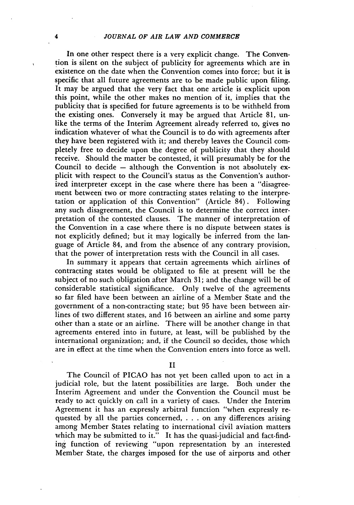In one other respect there is a very explicit change. The Convention is silent on the subject of publicity for agreements which are in existence on the date when the Convention comes into force; but it is specific that all future agreements are to be made public upon filing. It may be argued that the very fact that one article is explicit upon this point, while the other makes no mention of it, implies that the publicity that is specified for future agreements is to be withheld from the existing ones. Conversely it may be argued that Article 81, unlike the terms of the Interim Agreement already referred to, gives no indication whatever of what the Council is to do with agreements after they have been registered with it; and thereby leaves the Council completely free to decide upon the degree of publicity that they should receive. Should the matter be contested, it will presumably be for the Council to decide **-** although the Convention is not absolutely explicit with respect to the Council's status as the Convention's authorized interpreter except in the case where there has been a "disagreement between two or more contracting states relating to the interpretation or application of this Convention" (Article 84). Following any such disagreement, the Council is to determine the correct interpretation of the contested clauses. The manner of interpretation of the Convention in a case where there is no dispute between states is not explicitly defined; but it may logically be inferred from the language of Article 84, and from the absence of any contrary provision, that the power of interpretation rests with the Council in all cases.

In summary it appears that certain agreements which airlines of contracting states would be obligated to file at present will be the subject of no such obligation after March 31; and the change will be of considerable statistical significance. Only twelve of the agreements so far filed have been between an airline of a Member State and the government of a non-contracting state; but **95** have been between airlines of two different states, and **16** between an airline and some party other than a state or an airline. There will be another change in that agreements entered into in future, at least, will be published by the international organization; and, if the Council so decides, those which are in effect at the time when the Convention enters into force as well.

II

The Council of PICAO has not yet been called upon to act in a judicial role, but the latent possibilities are large. Both under the Interim Agreement and under the Convention the Council must be ready to act quickly on call in a variety of cases. Under the Interim Agreement it has an expressly arbitral function "when expressly requested by all the parties concerned, . **.** . on any differences arising among Member States relating to international civil aviation matters which may be submitted to it." It has the quasi-judicial and fact-finding function of reviewing "upon representation by an interested Member State, the charges imposed for the use of airports and other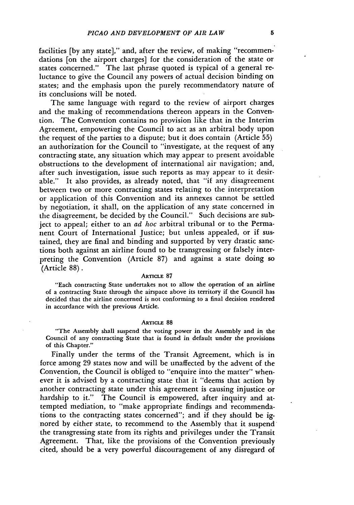facilities [by any state]," and, after the review, of making "recommendations [on the airport charges] for the consideration of the state or states concerned." The last phrase quoted is typical of a general reluctance to give the Council any powers of actual decision binding on states; and the emphasis upon the purely recommendatory nature of its conclusions will be noted.

The same language with regard to the review of airport charges and the making of recommendations thereon appears in the Convention. The Convention contains no provision like that in the Interim Agreement, empowering the Council to act as an arbitral body upon the request of the parties to a dispute; but it does contain (Article 55) an authorization for the Council to "investigate, at the request of any contracting state, any situation which may appear to present avoidable obstructions to the development of international air navigation; and, after such investigation, issue such reports as may appear to it desirable." It also provides, as already noted, that "if any disagreement between two or more contracting states relating to the interpretation or application of this Convention and its annexes cannot be settled by negotiation, it shall, on the application of any state concerned in the disagreement, be decided by the Council." Such decisions are subject to appeal; either to an *ad hoc* arbitral tribunal or to the Permanent Court of International Justice; but unless appealed, or if sustained, they are final and binding and supported by very drastic sanctions both against an airline found to be transgressing or falsely interpreting the Convention (Article 87) and against a state doing so (Article 88).

#### **ARTICLE 87**

"Each contracting State undertakes not to allow the operation of an airline of a contracting State through the airspace above its territory if the Council has decided that the airline concerned is not conforming to a final decision rendered in accordance with the previous Article.

#### **ARTICLE 88**

"The Assembly shall suspend the voting power in the Assembly and in the Council of any contracting State that is found in default under the provisions of this Chapter."

Finally under the terms of the Transit Agreement, which is in force among 29 states now and will be unaffected by the advent of the Convention, the Council is obliged to "enquire into the matter" whenever it is advised by a contracting state that it "deems that action by another contracting state under this agreement is causing injustice or hardship to it." The Council is empowered, after inquiry and attempted mediation, to "make appropriate findings and recommendations to the contracting states concerned"; and if they should be ignored by either state, to recommend to the Assembly that it suspend the transgressing state from its rights and privileges under the Transit Agreement. That, like the provisions of the Convention previously cited, should be a very powerful discouragement of any disregard of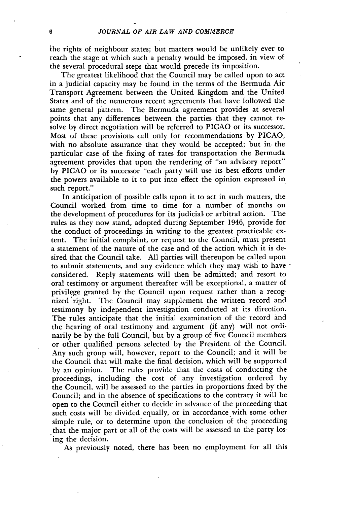ihe rights of neighbour states; but matters would be unlikely ever to reach the stage at which such a penalty would be imposed, in view of the several procedural steps that would precede its imposition.

The greatest likelihood that the Council may be called upon to act in a judicial capacity may be found in the terms of the Bermuda Air Transport Agreement between the United Kingdom and the United States and of the numerous recent agreements that have followed the same general pattern. The Bermuda agreement provides at several points that any differences between the parties that they cannot resolve by direct negotiation will be referred to PICAO or its successor. Most of these provisions call only for recommendations by PICAO, with no absolute assurance that they would be accepted; but in the particular case of the fixing of rates for transportation the Bermuda agreement provides that upon the rendering of "an advisory report" by PICAO or its successor "each party will use its best efforts under the powers available to it to put into effect the opinion expressed in such report."

In anticipation of possible calls upon it to act in such matters, the Council worked from time to time for a number of months on the development of procedures for its judicial, or arbitral action. The rules as they now stand, adopted during September 1946, provide for the conduct of proceedings in writing to the greatest practicable extent. The initial complaint, or request to the Council, must present a statement of the nature of the case and of the action which it is desired that the Council take. All parties will thereupon be called upon to submit statements, and any evidence which they may wish to have  $\epsilon$ considered. Reply statements will then be admitted; and resort to oral testimony or argument thereafter will be exceptional, a matter of privilege granted by the Council upon request rather than a recognized 'right. The Council may supplement the written record and testimony by independent investigation conducted at its direction. The rules anticipate that the initial examination of the record and the hearing of oral testimony and argument (if any) will not ordinarily be by the full Council, but by a group of five Council members or other qualified persons selected by the President of the Council. Any such group will, however, report to the Council; and it will be the Council that will make the final decision, which will be supported by an opinion. The rules provide that the costs of conducting the proceedings, including the cost of any investigation ordered by the Council, will be assessed to the parties in proportions fixed by the Council; and in the absence of specifications to the contrary it will be open to the Council either to decide in advance of the proceeding that such costs will be divided equally, or in accordance with some other simple rule, or to determine upon the conclusion of the proceeding that the major part or all of the costs will be assessed to the party losing the decision.

As previously noted, there has been no employment for all this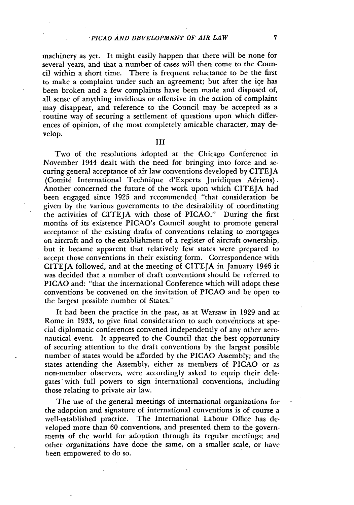machinery as yet. It might easily happen that there will be none for several years, and that a number of cases will then come to the Council within a short time. There is frequent reluctance to be the first to make a complaint under such an agreement; but after the ice has been broken and a few complaints have been made and disposed of, all sense of anything invidious or offensive in the action of complaint may disappear, and reference to the Council may be accepted as a routine way of securing a settlement of questions upon which differences of opinion, of the most completely amicable character, may develop.

III

Two of the resolutions adopted at the Chicago Conference in November 1944 dealt with the need for bringing into force and securing general acceptance of air law conventions developed by CITEJA (Comité International Technique d'Experts Juridiques Aériens). Another concerned the future of the work upon which CITEJA had been engaged since 1925 and recommended "that consideration be given by the various governments to the desirability of coordinating the activities of CITEJA with those of PICAO." During the first months of its existence PICAO's Council sought to promote general acceptance of the existing drafts of conventions relating to mortgages on aircraft and to the establishment of a register of aircraft ownership, but it became apparent that relatively few states were prepared to accept those conventions in their existing form. Correspondence with CITEJA followed, and at the meeting of CITEJA in January 1946 it was decided that a number of draft conventions should be referred to PICAO and: "that the international Conference which will adopt these conventions be convened on the invitation of PICAO and be open to the largest possible number of States."

It had been the practice in the past, as at Warsaw in 1929 and at Rome in 1933, to give final consideration to such conventions at special diplomatic conferences convened independently of any other aeronautical event. It appeared. to the Council that the best opportunity of securing attention to the draft conventions by the largest possible number of states would be afforded by the PICAO Assembly; and the states attending the Assembly, either as members of PICAO or as non-member observers, were accordingly asked to equip their delegates with full powers to sign international conventions, including those relating to private air law.

The use of the general meetings of international organizations for the adoption and signature of international conventions is of course a well-established practice. The International Labour Office has developed more than 60 conventions, and presented them to the governments of the world for adoption through its regular meetings; and other organizations have done the same, on a smaller scale, or have been empowered to do so.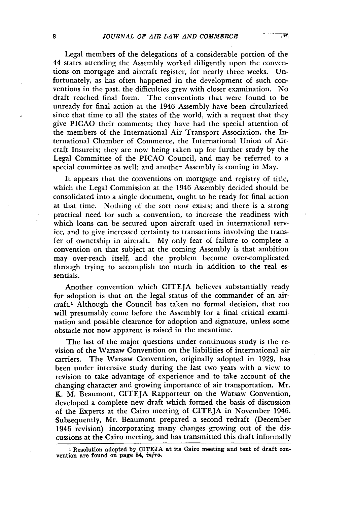Legal members of the delegations of a considerable portion of the 44 states attending the Assembly worked diligently upon the conventions on mortgage and aircraft register, for nearly three weeks. Unfortunately, as has often happened in the development of such conventions in the past, the difficulties grew with closer examination. No draft reached final form. The conventions that were found to be unready for final action at the 1946 Assembly have been circularized since that time to all the states of the world, with a request that they give PICAO their comments; they have had the special attention of the members of the International Air Transport Association, the International Chamber of Commerce, the International Union of Aircraft Insureis; they are now being taken up for further study by the Legal Committee of the PICAO Council, and may be referred to a special committee as well; and another Assembly is coming in May.

It appears that the conventions on mortgage and registry of title, which the Legal Commission at the 1946 Assembly decided should be consolidated into a single document, ought to be ready for final action at that time. Nothing of the sort now exists; and there is a strong practical need for such a convention, to increase the readiness with which loans can be secured upon aircraft used in international service, and to give increased certainty to transactions involving the transfer of ownership in aircraft. My only fear of failure to complete a convention on that subject at the coming Assembly is that ambition may over-reach itself, and the problem become over-complicated through trying to accomplish too much in addition to the real essentials.

Another convention which CITEJA believes substantially ready for adoption is that on the legal status of the commander of an aircraft.' Although the Council has taken no formal decision, that too will presumably come before the Assembly for a final critical examination and possible clearance for adoption and signature, unless some obstacle not now apparent is raised in the meantime.

The last of the major questions under continuous study is the revision of the Warsaw Convention on the liabilities of international air carriers. The Warsaw Convention, originally adopted in 1929, has been under intensive study during the last two years with a view to revision to take advantage of experience and to take account of the changing character and growing importance of air transportation. Mr. K. M. Beaumont, CITEJA Rapporteur on the Warsaw Convention, developed a complete new draft which formed the basis of discussion of the Experts at the Cairo meeting of CITEJA in November 1946. Subsequently, Mr. Beaumont prepared a second redraft (December 1946 revision) incorporating many changes growing out of the discussions at the Cairo meeting, and has transmitted this draft informally

יינור די<br>היית

<sup>&#</sup>x27; Resolution adopted **by** CITEJA at its Cairo meeting and text of draft con- vention are found on page 84, *infra.*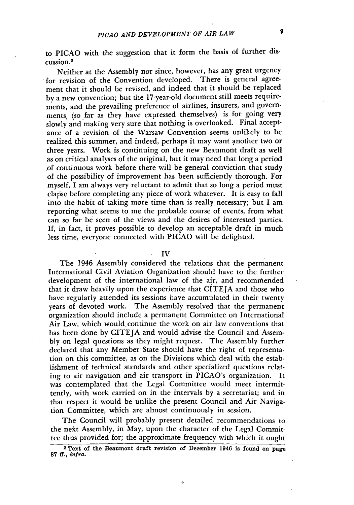to PICAO with the suggestion that it form the basis of further discussion.<sup>2</sup>

Neither at the Assembly nor since, however, has any great urgency for revision of the Convention developed. There is general agreement that it should be revised, and indeed that it should be replaced by a new convention; but the 17-year-old document still meets requirements, and the prevailing preference of airlines, insurers, and governments. (so far as they have expressed themselves) is for going very slowly and making very sure that nothing is overlooked. Final acceptance of a revision of the Warsaw Convention seems unlikely to be realized this summer, and indeed, perhaps it may want another two or three years. Work is continuing on the new Beaumont draft as well as on critical analyses of the original, but it may need that long a period of continuous work before there will be general conviction that study of the possibility of improvement has been sufficiently thorough. For myself, I am always very reluctant to admit that so long a period must elapse before completing any piece of work whatever. It is easy to fall into the habit of taking more time than is really necessary; but I am reporting what seems to me the probable course of events, from what can so far be seen of the views and the desires of interested parties. If, in fact, it proves possible to develop an acceptable draft in much less time, everyone connected with PICAO will be delighted.

**IV**

The 1946 Assembly considered the relations that the permanent International Civil Aviation Organization should have to the further development of the international law of the air, and recomriended that it draw heavily upon the experience that  $CATEIA$  and those who have regularly attended its sessions have accumulated in their twenty years of devoted work. The Assembly resolved that the permanent organization should include a permanent Committee on International Air Law, which would continue the work on air law conventions that has been done by CITEJA and would advise the Council and Assembly on legal questions as they might request. The Assembly further declared that any Member State should have the right of representation on this committee, as on the Divisions which deal with the establishment of technical standards and other specialized questions relating to air navigation and air transport in PICAO's organization. It was contemplated that the Legal Committee would meet intermittently, with work carried on in the intervals by a secretariat; and in that respect it would be unlike the present Council and Air Navigation Committee, which are almost continuously in session.

The Council will probably present detailed recommendations to the nekt Assembly, in May, upon the character of the Legal Committee thus provided for; the approximate frequency with which it ought

**<sup>2</sup>**Text of the Beaumont draft revision of December 1946 is found on page **87** ff., *infra.*